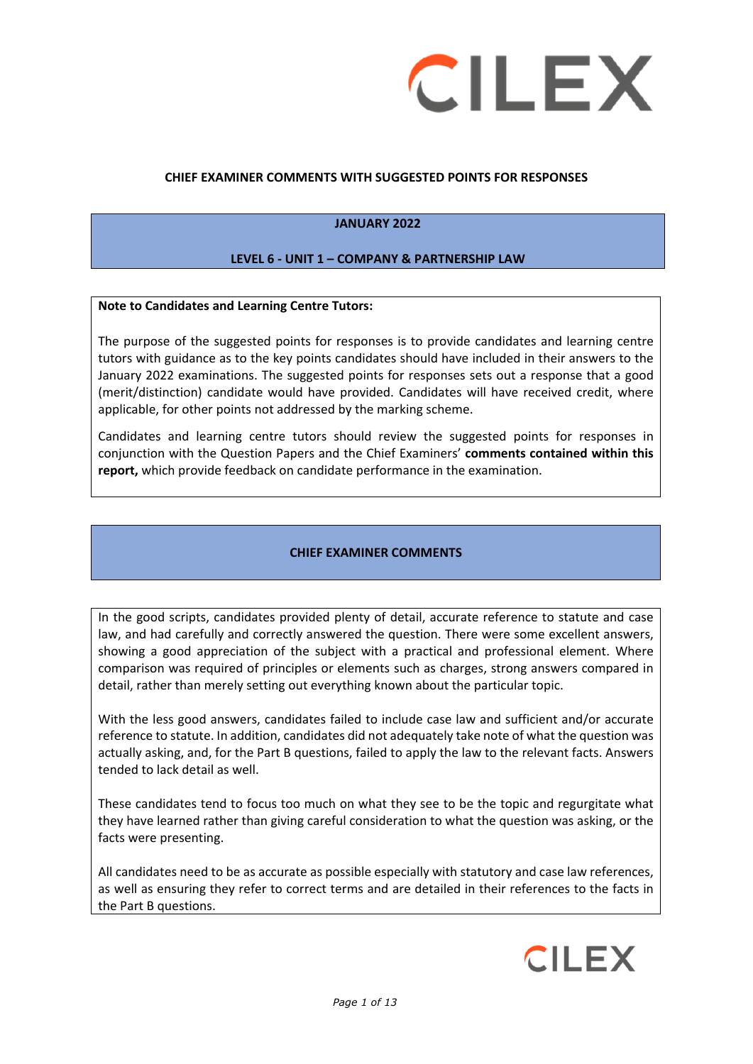

#### **CHIEF EXAMINER COMMENTS WITH SUGGESTED POINTS FOR RESPONSES**

### **JANUARY 2022**

#### **LEVEL 6 - UNIT 1 – COMPANY & PARTNERSHIP LAW**

#### **Note to Candidates and Learning Centre Tutors:**

The purpose of the suggested points for responses is to provide candidates and learning centre tutors with guidance as to the key points candidates should have included in their answers to the January 2022 examinations. The suggested points for responses sets out a response that a good (merit/distinction) candidate would have provided. Candidates will have received credit, where applicable, for other points not addressed by the marking scheme.

Candidates and learning centre tutors should review the suggested points for responses in conjunction with the Question Papers and the Chief Examiners' **comments contained within this report,** which provide feedback on candidate performance in the examination.

#### **CHIEF EXAMINER COMMENTS**

In the good scripts, candidates provided plenty of detail, accurate reference to statute and case law, and had carefully and correctly answered the question. There were some excellent answers, showing a good appreciation of the subject with a practical and professional element. Where comparison was required of principles or elements such as charges, strong answers compared in detail, rather than merely setting out everything known about the particular topic.

With the less good answers, candidates failed to include case law and sufficient and/or accurate reference to statute. In addition, candidates did not adequately take note of what the question was actually asking, and, for the Part B questions, failed to apply the law to the relevant facts. Answers tended to lack detail as well.

These candidates tend to focus too much on what they see to be the topic and regurgitate what they have learned rather than giving careful consideration to what the question was asking, or the facts were presenting.

All candidates need to be as accurate as possible especially with statutory and case law references, as well as ensuring they refer to correct terms and are detailed in their references to the facts in the Part B questions.

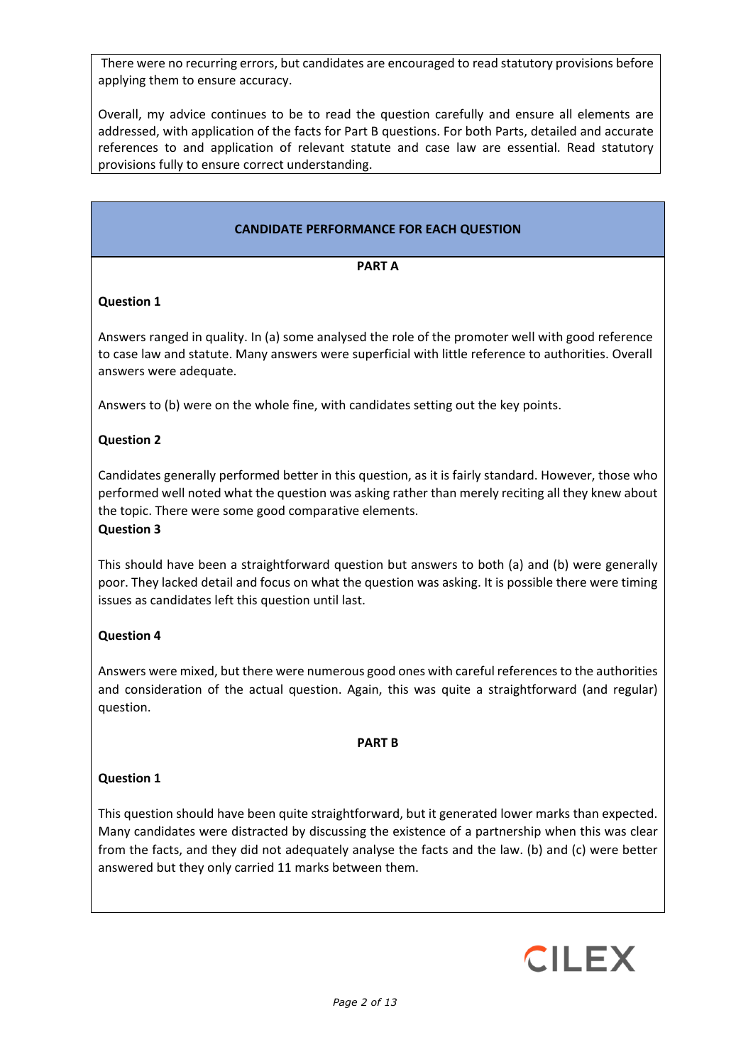There were no recurring errors, but candidates are encouraged to read statutory provisions before applying them to ensure accuracy.

Overall, my advice continues to be to read the question carefully and ensure all elements are addressed, with application of the facts for Part B questions. For both Parts, detailed and accurate references to and application of relevant statute and case law are essential. Read statutory provisions fully to ensure correct understanding.

# **CANDIDATE PERFORMANCE FOR EACH QUESTION**

#### **PART A**

# **Question 1**

Answers ranged in quality. In (a) some analysed the role of the promoter well with good reference to case law and statute. Many answers were superficial with little reference to authorities. Overall answers were adequate.

Answers to (b) were on the whole fine, with candidates setting out the key points.

### **Question 2**

Candidates generally performed better in this question, as it is fairly standard. However, those who performed well noted what the question was asking rather than merely reciting all they knew about the topic. There were some good comparative elements.

#### **Question 3**

This should have been a straightforward question but answers to both (a) and (b) were generally poor. They lacked detail and focus on what the question was asking. It is possible there were timing issues as candidates left this question until last.

### **Question 4**

Answers were mixed, but there were numerous good ones with careful references to the authorities and consideration of the actual question. Again, this was quite a straightforward (and regular) question.

#### **PART B**

#### **Question 1**

This question should have been quite straightforward, but it generated lower marks than expected. Many candidates were distracted by discussing the existence of a partnership when this was clear from the facts, and they did not adequately analyse the facts and the law. (b) and (c) were better answered but they only carried 11 marks between them.

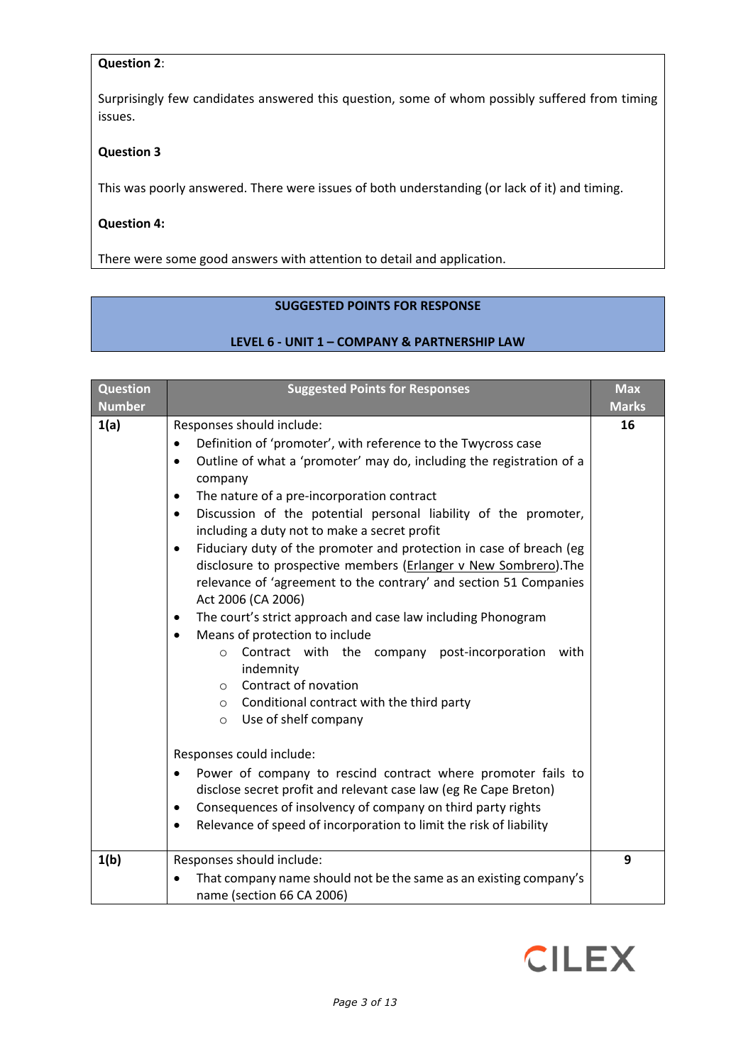### **Question 2**:

Surprisingly few candidates answered this question, some of whom possibly suffered from timing issues.

### **Question 3**

This was poorly answered. There were issues of both understanding (or lack of it) and timing.

### **Question 4:**

There were some good answers with attention to detail and application.

# **SUGGESTED POINTS FOR RESPONSE**

### **LEVEL 6 - UNIT 1 – COMPANY & PARTNERSHIP LAW**

| <b>Question</b> | <b>Suggested Points for Responses</b>                                                                                                                                                                                                                                                                                                                                                                                                                                                                                                                                                                                                                                                                                                                                                                                                                                                                                                                                                                                                                                                                                                                                                                                            | <b>Max</b>   |
|-----------------|----------------------------------------------------------------------------------------------------------------------------------------------------------------------------------------------------------------------------------------------------------------------------------------------------------------------------------------------------------------------------------------------------------------------------------------------------------------------------------------------------------------------------------------------------------------------------------------------------------------------------------------------------------------------------------------------------------------------------------------------------------------------------------------------------------------------------------------------------------------------------------------------------------------------------------------------------------------------------------------------------------------------------------------------------------------------------------------------------------------------------------------------------------------------------------------------------------------------------------|--------------|
| <b>Number</b>   |                                                                                                                                                                                                                                                                                                                                                                                                                                                                                                                                                                                                                                                                                                                                                                                                                                                                                                                                                                                                                                                                                                                                                                                                                                  | <b>Marks</b> |
| 1(a)            | Responses should include:<br>Definition of 'promoter', with reference to the Twycross case<br>$\bullet$<br>Outline of what a 'promoter' may do, including the registration of a<br>$\bullet$<br>company<br>The nature of a pre-incorporation contract<br>$\bullet$<br>Discussion of the potential personal liability of the promoter,<br>$\bullet$<br>including a duty not to make a secret profit<br>Fiduciary duty of the promoter and protection in case of breach (eg<br>$\bullet$<br>disclosure to prospective members (Erlanger v New Sombrero). The<br>relevance of 'agreement to the contrary' and section 51 Companies<br>Act 2006 (CA 2006)<br>The court's strict approach and case law including Phonogram<br>٠<br>Means of protection to include<br>$\bullet$<br>Contract with the company post-incorporation<br>with<br>$\circ$<br>indemnity<br>Contract of novation<br>$\circ$<br>Conditional contract with the third party<br>$\circ$<br>Use of shelf company<br>$\circ$<br>Responses could include:<br>Power of company to rescind contract where promoter fails to<br>٠<br>disclose secret profit and relevant case law (eg Re Cape Breton)<br>Consequences of insolvency of company on third party rights<br>٠ | 16           |
|                 | Relevance of speed of incorporation to limit the risk of liability                                                                                                                                                                                                                                                                                                                                                                                                                                                                                                                                                                                                                                                                                                                                                                                                                                                                                                                                                                                                                                                                                                                                                               |              |
| 1(b)            | Responses should include:                                                                                                                                                                                                                                                                                                                                                                                                                                                                                                                                                                                                                                                                                                                                                                                                                                                                                                                                                                                                                                                                                                                                                                                                        | 9            |
|                 | That company name should not be the same as an existing company's<br>name (section 66 CA 2006)                                                                                                                                                                                                                                                                                                                                                                                                                                                                                                                                                                                                                                                                                                                                                                                                                                                                                                                                                                                                                                                                                                                                   |              |

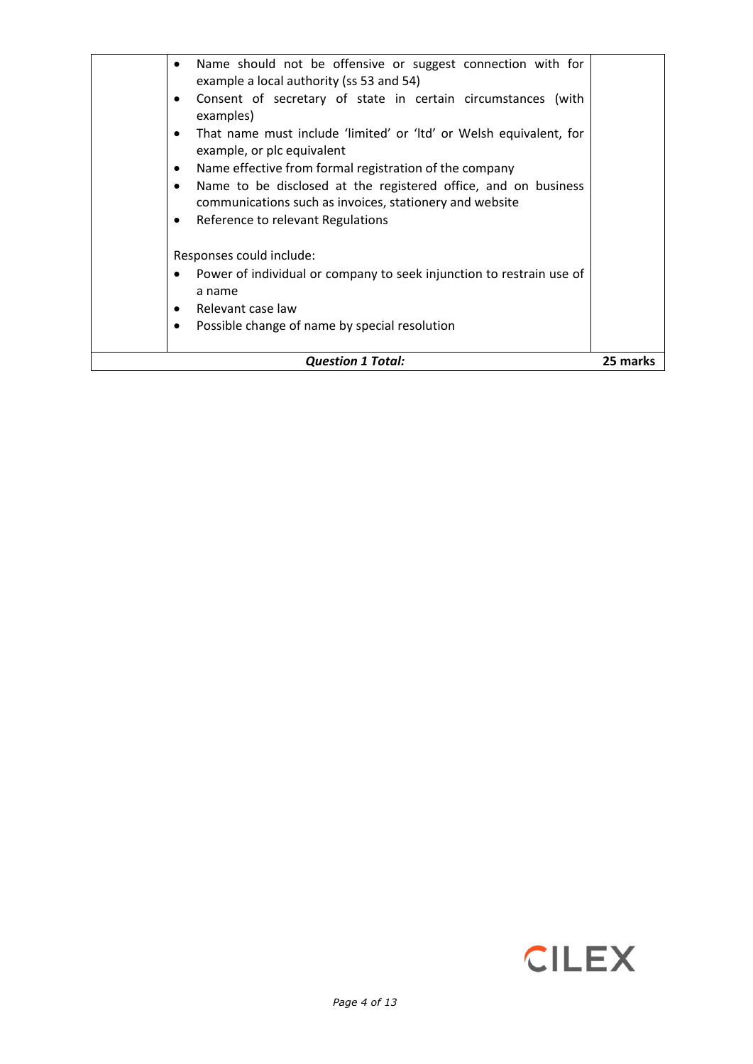| Name should not be offensive or suggest connection with for<br>٠<br>example a local authority (ss 53 and 54)<br>Consent of secretary of state in certain circumstances (with<br>$\bullet$<br>examples)<br>That name must include 'limited' or 'Itd' or Welsh equivalent, for<br>$\bullet$<br>example, or plc equivalent<br>Name effective from formal registration of the company<br>$\bullet$<br>Name to be disclosed at the registered office, and on business<br>$\bullet$<br>communications such as invoices, stationery and website<br>Reference to relevant Regulations<br>$\bullet$ |          |
|--------------------------------------------------------------------------------------------------------------------------------------------------------------------------------------------------------------------------------------------------------------------------------------------------------------------------------------------------------------------------------------------------------------------------------------------------------------------------------------------------------------------------------------------------------------------------------------------|----------|
| Responses could include:<br>Power of individual or company to seek injunction to restrain use of<br>$\bullet$<br>a name<br>Relevant case law<br>$\bullet$<br>Possible change of name by special resolution<br>٠                                                                                                                                                                                                                                                                                                                                                                            |          |
| <b>Question 1 Total:</b>                                                                                                                                                                                                                                                                                                                                                                                                                                                                                                                                                                   | 25 marks |

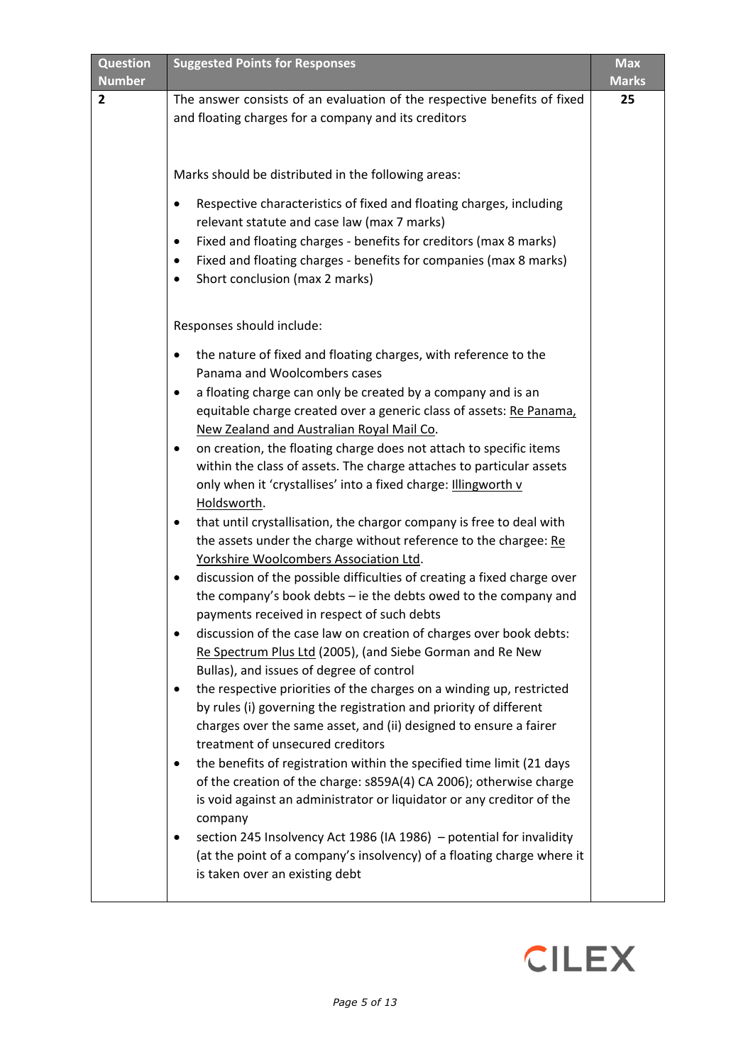| <b>Question</b><br><b>Number</b> | <b>Suggested Points for Responses</b>                                                                                                       | <b>Max</b><br><b>Marks</b> |
|----------------------------------|---------------------------------------------------------------------------------------------------------------------------------------------|----------------------------|
| $\overline{2}$                   | The answer consists of an evaluation of the respective benefits of fixed                                                                    | 25                         |
|                                  | and floating charges for a company and its creditors                                                                                        |                            |
|                                  |                                                                                                                                             |                            |
|                                  | Marks should be distributed in the following areas:                                                                                         |                            |
|                                  | Respective characteristics of fixed and floating charges, including<br>relevant statute and case law (max 7 marks)                          |                            |
|                                  | Fixed and floating charges - benefits for creditors (max 8 marks)<br>٠                                                                      |                            |
|                                  | Fixed and floating charges - benefits for companies (max 8 marks)<br>٠                                                                      |                            |
|                                  | Short conclusion (max 2 marks)                                                                                                              |                            |
|                                  | Responses should include:                                                                                                                   |                            |
|                                  | the nature of fixed and floating charges, with reference to the<br>Panama and Woolcombers cases                                             |                            |
|                                  | a floating charge can only be created by a company and is an<br>٠                                                                           |                            |
|                                  | equitable charge created over a generic class of assets: Re Panama,                                                                         |                            |
|                                  | New Zealand and Australian Royal Mail Co.                                                                                                   |                            |
|                                  | on creation, the floating charge does not attach to specific items<br>٠                                                                     |                            |
|                                  | within the class of assets. The charge attaches to particular assets<br>only when it 'crystallises' into a fixed charge: Illingworth v      |                            |
|                                  | Holdsworth.                                                                                                                                 |                            |
|                                  | that until crystallisation, the chargor company is free to deal with<br>٠                                                                   |                            |
|                                  | the assets under the charge without reference to the chargee: Re                                                                            |                            |
|                                  | Yorkshire Woolcombers Association Ltd.                                                                                                      |                            |
|                                  | discussion of the possible difficulties of creating a fixed charge over<br>٠                                                                |                            |
|                                  | the company's book debts - ie the debts owed to the company and                                                                             |                            |
|                                  | payments received in respect of such debts<br>discussion of the case law on creation of charges over book debts:                            |                            |
|                                  | Re Spectrum Plus Ltd (2005), (and Siebe Gorman and Re New                                                                                   |                            |
|                                  | Bullas), and issues of degree of control                                                                                                    |                            |
|                                  | the respective priorities of the charges on a winding up, restricted<br>٠                                                                   |                            |
|                                  | by rules (i) governing the registration and priority of different                                                                           |                            |
|                                  | charges over the same asset, and (ii) designed to ensure a fairer                                                                           |                            |
|                                  | treatment of unsecured creditors                                                                                                            |                            |
|                                  | the benefits of registration within the specified time limit (21 days<br>٠                                                                  |                            |
|                                  | of the creation of the charge: s859A(4) CA 2006); otherwise charge<br>is void against an administrator or liquidator or any creditor of the |                            |
|                                  | company                                                                                                                                     |                            |
|                                  | section 245 Insolvency Act 1986 (IA 1986) - potential for invalidity<br>٠                                                                   |                            |
|                                  | (at the point of a company's insolvency) of a floating charge where it                                                                      |                            |
|                                  | is taken over an existing debt                                                                                                              |                            |
|                                  |                                                                                                                                             |                            |

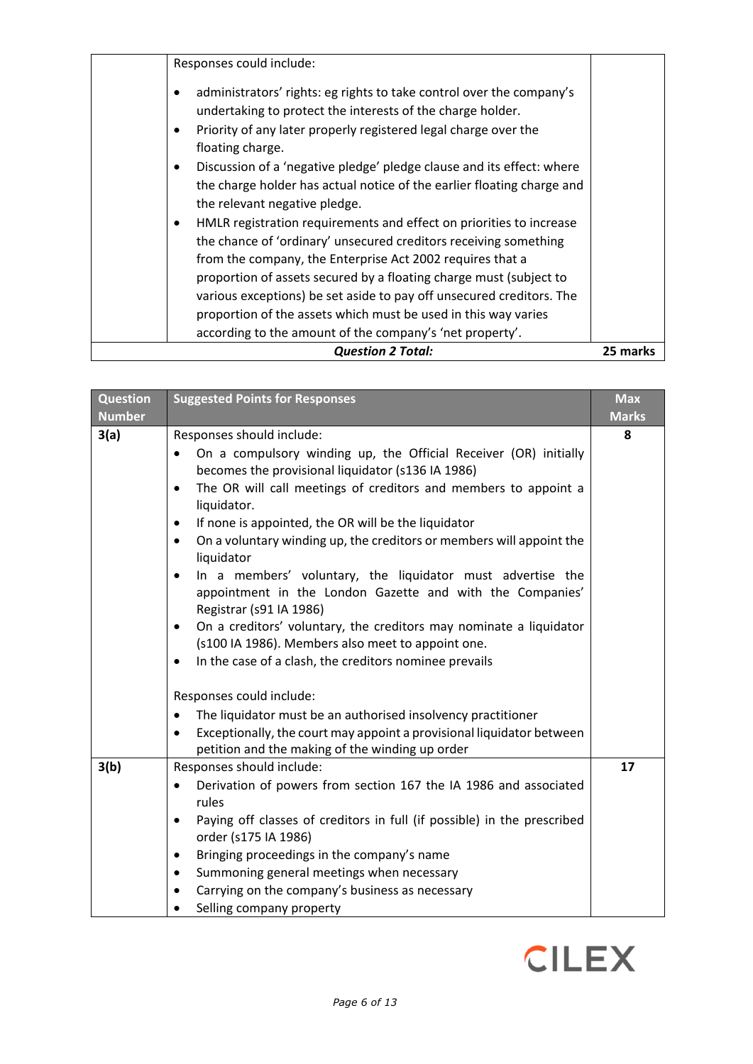| Responses could include:<br>administrators' rights: eg rights to take control over the company's<br>undertaking to protect the interests of the charge holder.<br>Priority of any later properly registered legal charge over the<br>floating charge.<br>Discussion of a 'negative pledge' pledge clause and its effect: where<br>$\bullet$<br>the charge holder has actual notice of the earlier floating charge and<br>the relevant negative pledge.<br>HMLR registration requirements and effect on priorities to increase<br>$\bullet$<br>the chance of 'ordinary' unsecured creditors receiving something<br>from the company, the Enterprise Act 2002 requires that a<br>proportion of assets secured by a floating charge must (subject to<br>various exceptions) be set aside to pay off unsecured creditors. The<br>proportion of the assets which must be used in this way varies |          |
|---------------------------------------------------------------------------------------------------------------------------------------------------------------------------------------------------------------------------------------------------------------------------------------------------------------------------------------------------------------------------------------------------------------------------------------------------------------------------------------------------------------------------------------------------------------------------------------------------------------------------------------------------------------------------------------------------------------------------------------------------------------------------------------------------------------------------------------------------------------------------------------------|----------|
| according to the amount of the company's 'net property'.<br><b>Question 2 Total:</b>                                                                                                                                                                                                                                                                                                                                                                                                                                                                                                                                                                                                                                                                                                                                                                                                        | 25 marks |

| Question<br><b>Number</b> | <b>Suggested Points for Responses</b>                                                                                                                                                                                                                                                                                                                                                                                                                                                                                                                                                                                                                                                                                                         | <b>Max</b><br><b>Marks</b> |
|---------------------------|-----------------------------------------------------------------------------------------------------------------------------------------------------------------------------------------------------------------------------------------------------------------------------------------------------------------------------------------------------------------------------------------------------------------------------------------------------------------------------------------------------------------------------------------------------------------------------------------------------------------------------------------------------------------------------------------------------------------------------------------------|----------------------------|
| 3(a)                      | Responses should include:                                                                                                                                                                                                                                                                                                                                                                                                                                                                                                                                                                                                                                                                                                                     | 8                          |
|                           | On a compulsory winding up, the Official Receiver (OR) initially<br>becomes the provisional liquidator (s136 IA 1986)<br>The OR will call meetings of creditors and members to appoint a<br>$\bullet$<br>liquidator.<br>If none is appointed, the OR will be the liquidator<br>٠<br>On a voluntary winding up, the creditors or members will appoint the<br>٠<br>liquidator<br>In a members' voluntary, the liquidator must advertise the<br>٠<br>appointment in the London Gazette and with the Companies'<br>Registrar (s91 IA 1986)<br>On a creditors' voluntary, the creditors may nominate a liquidator<br>٠<br>(s100 IA 1986). Members also meet to appoint one.<br>In the case of a clash, the creditors nominee prevails<br>$\bullet$ |                            |
|                           | Responses could include:                                                                                                                                                                                                                                                                                                                                                                                                                                                                                                                                                                                                                                                                                                                      |                            |
|                           | The liquidator must be an authorised insolvency practitioner<br>$\bullet$                                                                                                                                                                                                                                                                                                                                                                                                                                                                                                                                                                                                                                                                     |                            |
|                           | Exceptionally, the court may appoint a provisional liquidator between<br>petition and the making of the winding up order                                                                                                                                                                                                                                                                                                                                                                                                                                                                                                                                                                                                                      |                            |
| 3(b)                      | Responses should include:                                                                                                                                                                                                                                                                                                                                                                                                                                                                                                                                                                                                                                                                                                                     | 17                         |
|                           | Derivation of powers from section 167 the IA 1986 and associated<br>٠<br>rules<br>Paying off classes of creditors in full (if possible) in the prescribed<br>$\bullet$<br>order (s175 IA 1986)<br>Bringing proceedings in the company's name<br>٠<br>Summoning general meetings when necessary<br>٠<br>Carrying on the company's business as necessary<br>Selling company property                                                                                                                                                                                                                                                                                                                                                            |                            |

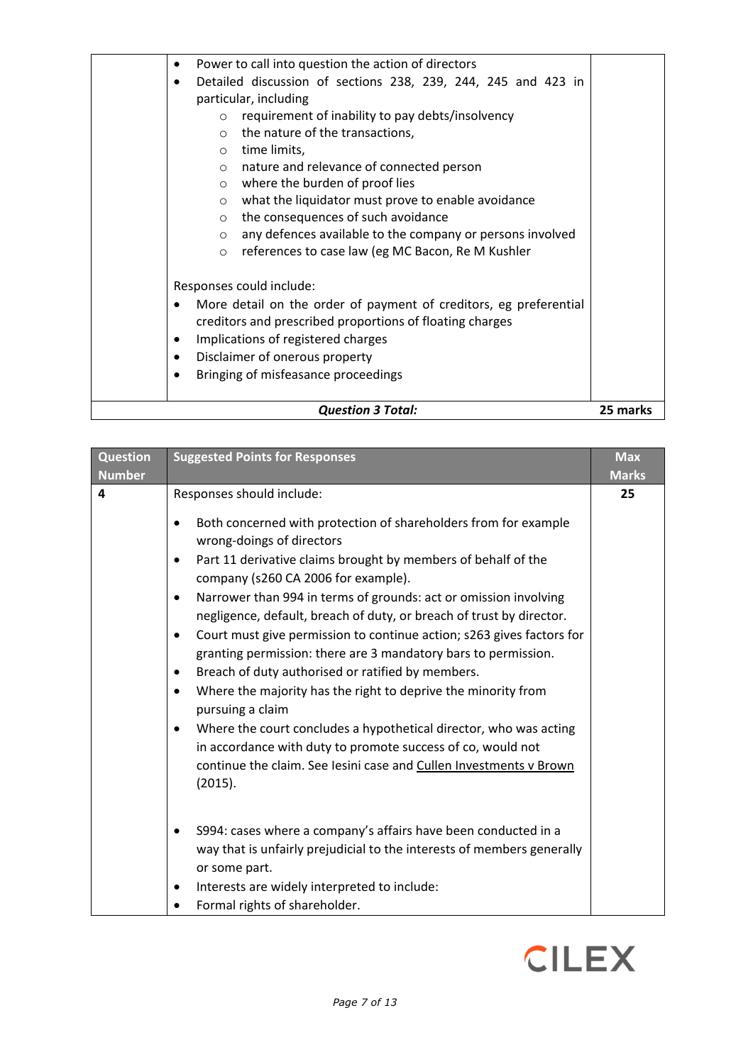| <b>Question 3 Total:</b>                                                       | 25 marks |
|--------------------------------------------------------------------------------|----------|
| Bringing of misfeasance proceedings                                            |          |
|                                                                                |          |
| Disclaimer of onerous property<br>٠                                            |          |
| Implications of registered charges                                             |          |
| creditors and prescribed proportions of floating charges                       |          |
| More detail on the order of payment of creditors, eg preferential<br>$\bullet$ |          |
| Responses could include:                                                       |          |
| references to case law (eg MC Bacon, Re M Kushler<br>$\circ$                   |          |
| any defences available to the company or persons involved<br>$\circ$           |          |
| the consequences of such avoidance<br>$\circ$                                  |          |
| what the liquidator must prove to enable avoidance<br>$\circ$                  |          |
| where the burden of proof lies<br>$\circ$                                      |          |
| nature and relevance of connected person<br>$\circ$                            |          |
| time limits,<br>$\circ$                                                        |          |
| the nature of the transactions,<br>$\circ$                                     |          |
| requirement of inability to pay debts/insolvency<br>$\circ$                    |          |
| particular, including                                                          |          |
| Detailed discussion of sections 238, 239, 244, 245 and 423 in<br>$\bullet$     |          |
| Power to call into question the action of directors<br>٠                       |          |
|                                                                                |          |

# **Question Number Suggested Points for Responses Max Max Max Max Max Marks 4** Responses should include: • Both concerned with protection of shareholders from for example wrong-doings of directors • Part 11 derivative claims brought by members of behalf of the company (s260 CA 2006 for example). • Narrower than 994 in terms of grounds: act or omission involving negligence, default, breach of duty, or breach of trust by director. • Court must give permission to continue action; s263 gives factors for granting permission: there are 3 mandatory bars to permission. • Breach of duty authorised or ratified by members. • Where the majority has the right to deprive the minority from pursuing a claim • Where the court concludes a hypothetical director, who was acting in accordance with duty to promote success of co, would not continue the claim. See Iesini case and Cullen Investments v Brown (2015). • S994: cases where a company's affairs have been conducted in a way that is unfairly prejudicial to the interests of members generally or some part. • Interests are widely interpreted to include: • Formal rights of shareholder. **25**

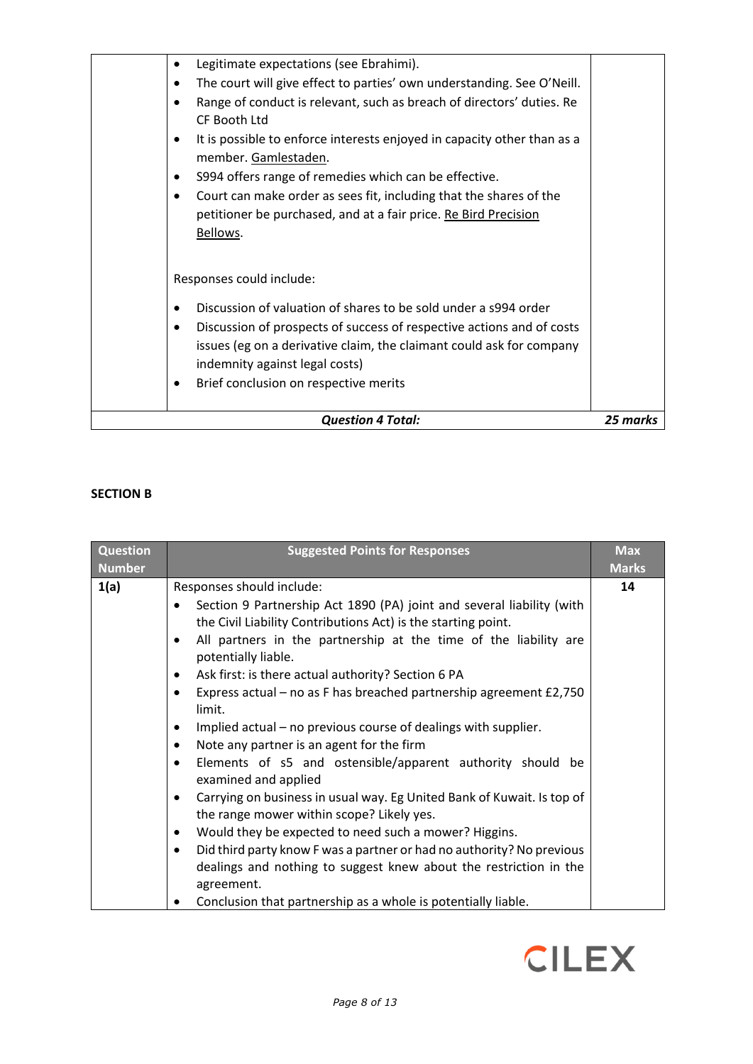# **SECTION B**

| <b>Question</b><br><b>Number</b> | <b>Suggested Points for Responses</b>                                                                                                                                                                           | <b>Max</b><br><b>Marks</b> |
|----------------------------------|-----------------------------------------------------------------------------------------------------------------------------------------------------------------------------------------------------------------|----------------------------|
| 1(a)                             | Responses should include:                                                                                                                                                                                       | 14                         |
|                                  | Section 9 Partnership Act 1890 (PA) joint and several liability (with<br>the Civil Liability Contributions Act) is the starting point.<br>All partners in the partnership at the time of the liability are<br>٠ |                            |
|                                  | potentially liable.                                                                                                                                                                                             |                            |
|                                  | Ask first: is there actual authority? Section 6 PA<br>٠                                                                                                                                                         |                            |
|                                  | Express actual – no as F has breached partnership agreement £2,750<br>limit.                                                                                                                                    |                            |
|                                  | Implied actual – no previous course of dealings with supplier.<br>٠                                                                                                                                             |                            |
|                                  | Note any partner is an agent for the firm                                                                                                                                                                       |                            |
|                                  | Elements of s5 and ostensible/apparent authority should be<br>$\bullet$<br>examined and applied                                                                                                                 |                            |
|                                  | Carrying on business in usual way. Eg United Bank of Kuwait. Is top of<br>$\bullet$<br>the range mower within scope? Likely yes.                                                                                |                            |
|                                  | Would they be expected to need such a mower? Higgins.<br>$\bullet$                                                                                                                                              |                            |
|                                  | Did third party know F was a partner or had no authority? No previous<br>$\bullet$                                                                                                                              |                            |
|                                  | dealings and nothing to suggest knew about the restriction in the<br>agreement.                                                                                                                                 |                            |
|                                  | Conclusion that partnership as a whole is potentially liable.                                                                                                                                                   |                            |

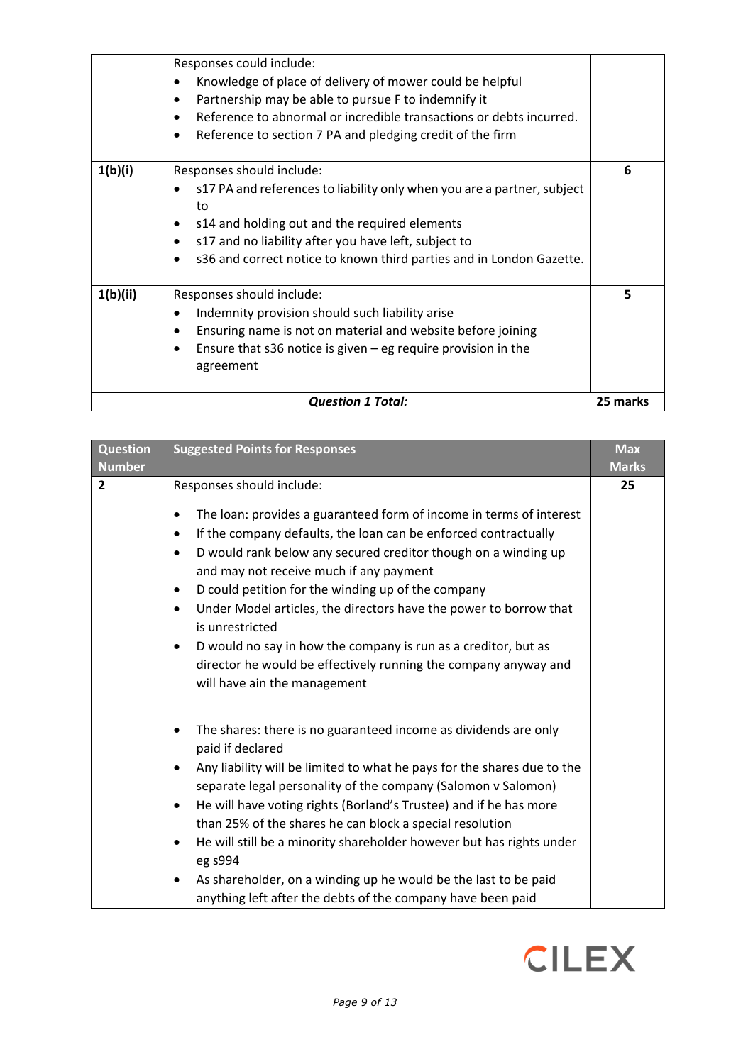|          | Responses could include:                                                                  |          |
|----------|-------------------------------------------------------------------------------------------|----------|
|          | Knowledge of place of delivery of mower could be helpful<br>٠                             |          |
|          | Partnership may be able to pursue F to indemnify it<br>٠                                  |          |
|          | Reference to abnormal or incredible transactions or debts incurred.<br>$\bullet$          |          |
|          | Reference to section 7 PA and pledging credit of the firm                                 |          |
| 1(b)(i)  | Responses should include:                                                                 | 6        |
|          | s17 PA and references to liability only when you are a partner, subject<br>٠<br>to        |          |
|          | s14 and holding out and the required elements<br>٠                                        |          |
|          | s17 and no liability after you have left, subject to                                      |          |
|          | s36 and correct notice to known third parties and in London Gazette.                      |          |
| 1(b)(ii) | Responses should include:                                                                 | 5        |
|          | Indemnity provision should such liability arise<br>$\bullet$                              |          |
|          | Ensuring name is not on material and website before joining<br>٠                          |          |
|          | Ensure that $s36$ notice is given – eg require provision in the<br>$\bullet$<br>agreement |          |
|          | <b>Question 1 Total:</b>                                                                  | 25 marks |

| <b>Question</b> | <b>Suggested Points for Responses</b>                                                                                  | <b>Max</b>   |
|-----------------|------------------------------------------------------------------------------------------------------------------------|--------------|
| <b>Number</b>   |                                                                                                                        | <b>Marks</b> |
| $\overline{2}$  | Responses should include:                                                                                              | 25           |
|                 | The loan: provides a guaranteed form of income in terms of interest<br>$\bullet$                                       |              |
|                 | If the company defaults, the loan can be enforced contractually<br>$\bullet$                                           |              |
|                 | D would rank below any secured creditor though on a winding up<br>$\bullet$<br>and may not receive much if any payment |              |
|                 | D could petition for the winding up of the company<br>$\bullet$                                                        |              |
|                 | Under Model articles, the directors have the power to borrow that<br>$\bullet$<br>is unrestricted                      |              |
|                 | D would no say in how the company is run as a creditor, but as<br>$\bullet$                                            |              |
|                 | director he would be effectively running the company anyway and                                                        |              |
|                 | will have ain the management                                                                                           |              |
|                 | The shares: there is no guaranteed income as dividends are only<br>$\bullet$<br>paid if declared                       |              |
|                 | Any liability will be limited to what he pays for the shares due to the<br>$\bullet$                                   |              |
|                 | separate legal personality of the company (Salomon v Salomon)                                                          |              |
|                 | He will have voting rights (Borland's Trustee) and if he has more<br>$\bullet$                                         |              |
|                 | than 25% of the shares he can block a special resolution                                                               |              |
|                 | He will still be a minority shareholder however but has rights under<br>$\bullet$<br>eg s994                           |              |
|                 | As shareholder, on a winding up he would be the last to be paid<br>$\bullet$                                           |              |
|                 | anything left after the debts of the company have been paid                                                            |              |

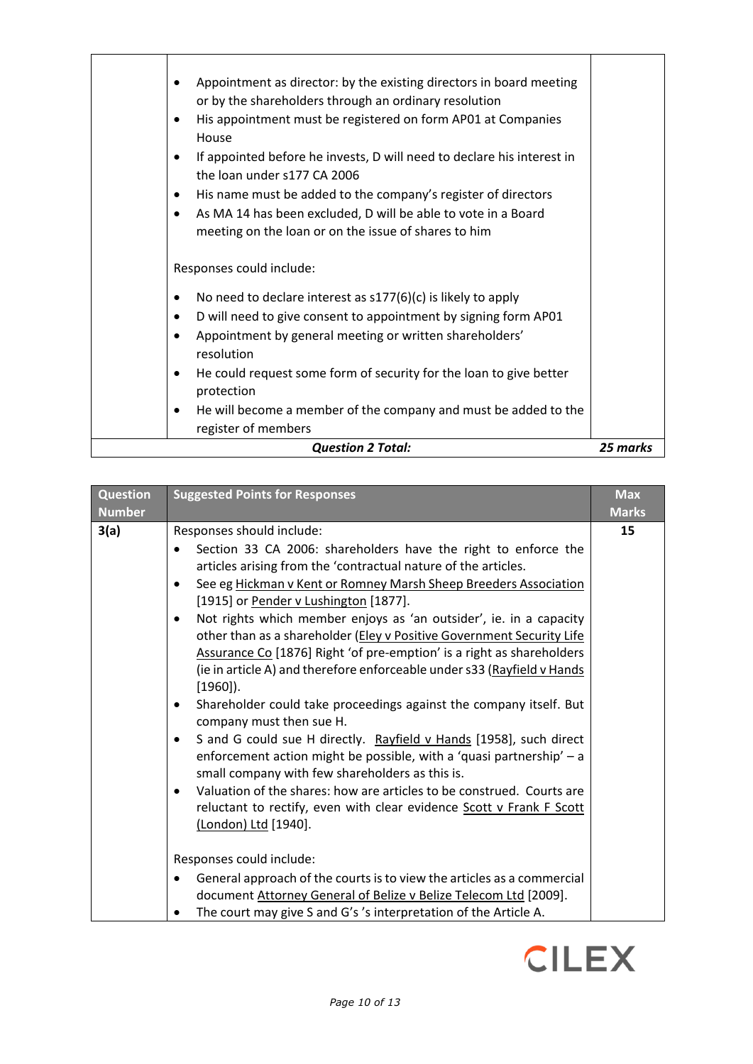| Appointment as director: by the existing directors in board meeting<br>$\bullet$<br>or by the shareholders through an ordinary resolution<br>His appointment must be registered on form AP01 at Companies<br>$\bullet$<br>House<br>If appointed before he invests, D will need to declare his interest in<br>٠<br>the loan under s177 CA 2006<br>His name must be added to the company's register of directors<br>٠<br>As MA 14 has been excluded, D will be able to vote in a Board<br>٠<br>meeting on the loan or on the issue of shares to him |          |
|---------------------------------------------------------------------------------------------------------------------------------------------------------------------------------------------------------------------------------------------------------------------------------------------------------------------------------------------------------------------------------------------------------------------------------------------------------------------------------------------------------------------------------------------------|----------|
| Responses could include:                                                                                                                                                                                                                                                                                                                                                                                                                                                                                                                          |          |
| No need to declare interest as $s177(6)(c)$ is likely to apply<br>٠                                                                                                                                                                                                                                                                                                                                                                                                                                                                               |          |
| D will need to give consent to appointment by signing form AP01<br>٠                                                                                                                                                                                                                                                                                                                                                                                                                                                                              |          |
| Appointment by general meeting or written shareholders'<br>resolution                                                                                                                                                                                                                                                                                                                                                                                                                                                                             |          |
| He could request some form of security for the loan to give better<br>٠<br>protection                                                                                                                                                                                                                                                                                                                                                                                                                                                             |          |
| He will become a member of the company and must be added to the<br>٠<br>register of members                                                                                                                                                                                                                                                                                                                                                                                                                                                       |          |
| <b>Question 2 Total:</b>                                                                                                                                                                                                                                                                                                                                                                                                                                                                                                                          | 25 marks |

| <b>Question</b><br><b>Number</b> | <b>Suggested Points for Responses</b>                                                                                                                                                                                                                                                                                                                                                                                                                                                                                                                                                                                                                                                                                                                                                                                                                                                                                                                                                                                                                                                                                     | <b>Max</b><br><b>Marks</b> |
|----------------------------------|---------------------------------------------------------------------------------------------------------------------------------------------------------------------------------------------------------------------------------------------------------------------------------------------------------------------------------------------------------------------------------------------------------------------------------------------------------------------------------------------------------------------------------------------------------------------------------------------------------------------------------------------------------------------------------------------------------------------------------------------------------------------------------------------------------------------------------------------------------------------------------------------------------------------------------------------------------------------------------------------------------------------------------------------------------------------------------------------------------------------------|----------------------------|
| 3(a)                             | Responses should include:<br>Section 33 CA 2006: shareholders have the right to enforce the<br>articles arising from the 'contractual nature of the articles.<br>See eg Hickman v Kent or Romney Marsh Sheep Breeders Association<br>٠<br>[1915] or Pender v Lushington [1877].<br>Not rights which member enjoys as 'an outsider', ie. in a capacity<br>$\bullet$<br>other than as a shareholder (Eley v Positive Government Security Life<br>Assurance Co [1876] Right 'of pre-emption' is a right as shareholders<br>(ie in article A) and therefore enforceable under s33 (Rayfield v Hands<br>$[1960]$ ).<br>Shareholder could take proceedings against the company itself. But<br>٠<br>company must then sue H.<br>S and G could sue H directly. Rayfield v Hands [1958], such direct<br>$\bullet$<br>enforcement action might be possible, with a 'quasi partnership' - a<br>small company with few shareholders as this is.<br>Valuation of the shares: how are articles to be construed. Courts are<br>$\bullet$<br>reluctant to rectify, even with clear evidence Scott v Frank F Scott<br>(London) Ltd [1940]. | 15                         |
|                                  | Responses could include:<br>General approach of the courts is to view the articles as a commercial<br>document Attorney General of Belize v Belize Telecom Ltd [2009].<br>The court may give S and G's 's interpretation of the Article A.<br>٠                                                                                                                                                                                                                                                                                                                                                                                                                                                                                                                                                                                                                                                                                                                                                                                                                                                                           |                            |

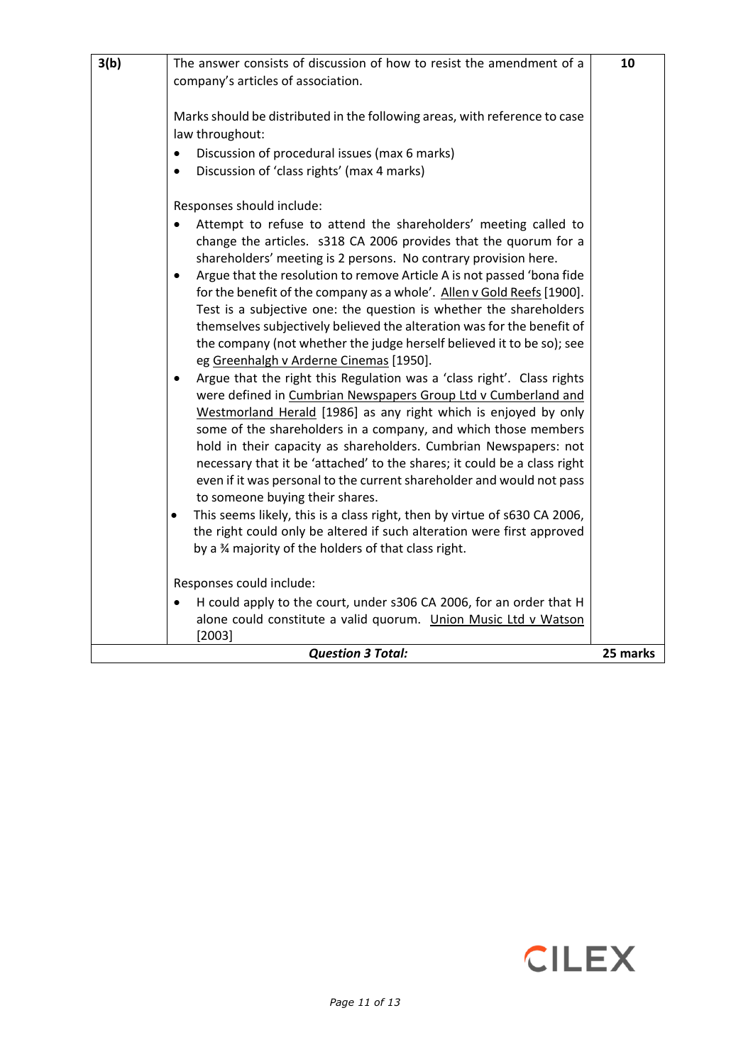| 3(b)                                 | The answer consists of discussion of how to resist the amendment of a<br>company's articles of association.<br>Marks should be distributed in the following areas, with reference to case<br>law throughout:<br>Discussion of procedural issues (max 6 marks)<br>Discussion of 'class rights' (max 4 marks)<br>٠<br>Responses should include:<br>Attempt to refuse to attend the shareholders' meeting called to<br>change the articles. s318 CA 2006 provides that the quorum for a<br>shareholders' meeting is 2 persons. No contrary provision here.<br>Argue that the resolution to remove Article A is not passed 'bona fide<br>$\bullet$<br>for the benefit of the company as a whole'. Allen v Gold Reefs [1900].<br>Test is a subjective one: the question is whether the shareholders<br>themselves subjectively believed the alteration was for the benefit of<br>the company (not whether the judge herself believed it to be so); see<br>eg Greenhalgh v Arderne Cinemas [1950].<br>Argue that the right this Regulation was a 'class right'. Class rights<br>$\bullet$<br>were defined in Cumbrian Newspapers Group Ltd v Cumberland and<br>Westmorland Herald [1986] as any right which is enjoyed by only<br>some of the shareholders in a company, and which those members<br>hold in their capacity as shareholders. Cumbrian Newspapers: not | 10 |
|--------------------------------------|----------------------------------------------------------------------------------------------------------------------------------------------------------------------------------------------------------------------------------------------------------------------------------------------------------------------------------------------------------------------------------------------------------------------------------------------------------------------------------------------------------------------------------------------------------------------------------------------------------------------------------------------------------------------------------------------------------------------------------------------------------------------------------------------------------------------------------------------------------------------------------------------------------------------------------------------------------------------------------------------------------------------------------------------------------------------------------------------------------------------------------------------------------------------------------------------------------------------------------------------------------------------------------------------------------------------------------------------------------------|----|
|                                      | necessary that it be 'attached' to the shares; it could be a class right<br>even if it was personal to the current shareholder and would not pass<br>to someone buying their shares.                                                                                                                                                                                                                                                                                                                                                                                                                                                                                                                                                                                                                                                                                                                                                                                                                                                                                                                                                                                                                                                                                                                                                                           |    |
|                                      | This seems likely, this is a class right, then by virtue of s630 CA 2006,<br>$\bullet$<br>the right could only be altered if such alteration were first approved<br>by a 34 majority of the holders of that class right.<br>Responses could include:                                                                                                                                                                                                                                                                                                                                                                                                                                                                                                                                                                                                                                                                                                                                                                                                                                                                                                                                                                                                                                                                                                           |    |
|                                      |                                                                                                                                                                                                                                                                                                                                                                                                                                                                                                                                                                                                                                                                                                                                                                                                                                                                                                                                                                                                                                                                                                                                                                                                                                                                                                                                                                |    |
|                                      | H could apply to the court, under s306 CA 2006, for an order that H<br>alone could constitute a valid quorum. Union Music Ltd v Watson<br>[2003]                                                                                                                                                                                                                                                                                                                                                                                                                                                                                                                                                                                                                                                                                                                                                                                                                                                                                                                                                                                                                                                                                                                                                                                                               |    |
| <b>Question 3 Total:</b><br>25 marks |                                                                                                                                                                                                                                                                                                                                                                                                                                                                                                                                                                                                                                                                                                                                                                                                                                                                                                                                                                                                                                                                                                                                                                                                                                                                                                                                                                |    |

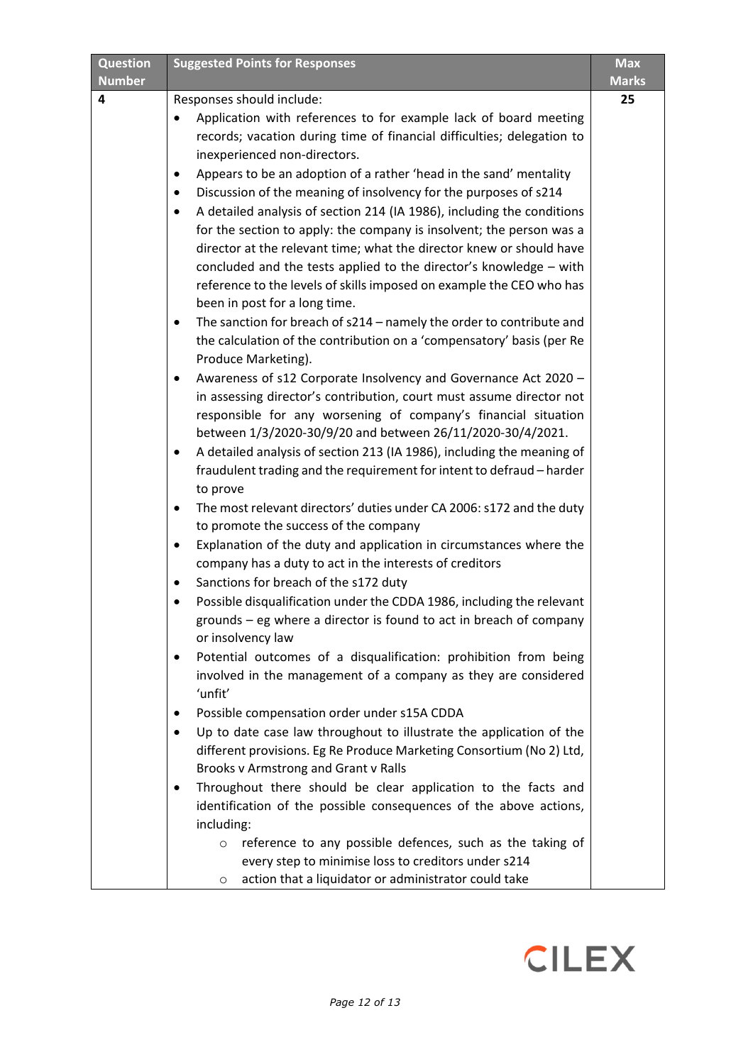| <b>Question</b>    | <b>Suggested Points for Responses</b>                                                                       | Max                |
|--------------------|-------------------------------------------------------------------------------------------------------------|--------------------|
| <b>Number</b><br>4 |                                                                                                             | <b>Marks</b><br>25 |
|                    | Responses should include:<br>Application with references to for example lack of board meeting<br>$\bullet$  |                    |
|                    | records; vacation during time of financial difficulties; delegation to                                      |                    |
|                    | inexperienced non-directors.                                                                                |                    |
|                    | Appears to be an adoption of a rather 'head in the sand' mentality                                          |                    |
|                    | Discussion of the meaning of insolvency for the purposes of s214<br>٠                                       |                    |
|                    | A detailed analysis of section 214 (IA 1986), including the conditions                                      |                    |
|                    | for the section to apply: the company is insolvent; the person was a                                        |                    |
|                    | director at the relevant time; what the director knew or should have                                        |                    |
|                    | concluded and the tests applied to the director's knowledge - with                                          |                    |
|                    | reference to the levels of skills imposed on example the CEO who has                                        |                    |
|                    | been in post for a long time.                                                                               |                    |
|                    | The sanction for breach of s214 - namely the order to contribute and<br>$\bullet$                           |                    |
|                    | the calculation of the contribution on a 'compensatory' basis (per Re                                       |                    |
|                    | Produce Marketing).                                                                                         |                    |
|                    | Awareness of s12 Corporate Insolvency and Governance Act 2020 -<br>٠                                        |                    |
|                    | in assessing director's contribution, court must assume director not                                        |                    |
|                    | responsible for any worsening of company's financial situation                                              |                    |
|                    | between 1/3/2020-30/9/20 and between 26/11/2020-30/4/2021.                                                  |                    |
|                    | A detailed analysis of section 213 (IA 1986), including the meaning of<br>٠                                 |                    |
|                    | fraudulent trading and the requirement for intent to defraud - harder                                       |                    |
|                    | to prove                                                                                                    |                    |
|                    | The most relevant directors' duties under CA 2006: s172 and the duty                                        |                    |
|                    | to promote the success of the company<br>Explanation of the duty and application in circumstances where the |                    |
|                    | company has a duty to act in the interests of creditors                                                     |                    |
|                    | Sanctions for breach of the s172 duty<br>٠                                                                  |                    |
|                    | Possible disqualification under the CDDA 1986, including the relevant                                       |                    |
|                    | grounds - eg where a director is found to act in breach of company                                          |                    |
|                    | or insolvency law                                                                                           |                    |
|                    | Potential outcomes of a disqualification: prohibition from being<br>٠                                       |                    |
|                    | involved in the management of a company as they are considered                                              |                    |
|                    | 'unfit'                                                                                                     |                    |
|                    | Possible compensation order under s15A CDDA                                                                 |                    |
|                    | Up to date case law throughout to illustrate the application of the<br>٠                                    |                    |
|                    | different provisions. Eg Re Produce Marketing Consortium (No 2) Ltd,                                        |                    |
|                    | Brooks v Armstrong and Grant v Ralls                                                                        |                    |
|                    | Throughout there should be clear application to the facts and                                               |                    |
|                    | identification of the possible consequences of the above actions,                                           |                    |
|                    | including:                                                                                                  |                    |
|                    | reference to any possible defences, such as the taking of<br>$\circ$                                        |                    |
|                    | every step to minimise loss to creditors under s214                                                         |                    |
|                    | action that a liquidator or administrator could take<br>$\circ$                                             |                    |